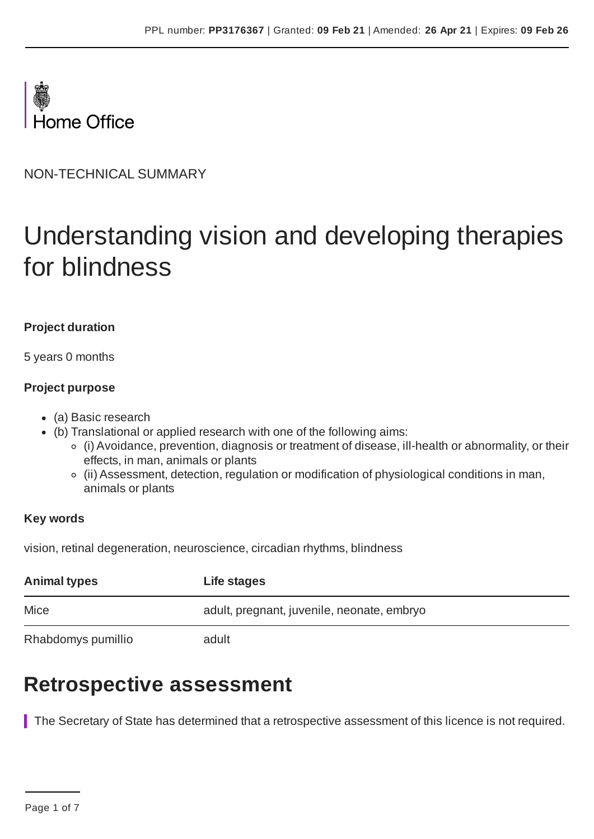

NON-TECHNICAL SUMMARY

# Understanding vision and developing therapies for blindness

#### **Project duration**

5 years 0 months

#### **Project purpose**

- (a) Basic research
- (b) Translational or applied research with one of the following aims:
	- (i) Avoidance, prevention, diagnosis or treatment of disease, ill-health or abnormality, or their effects, in man, animals or plants
	- (ii) Assessment, detection, regulation or modification of physiological conditions in man, animals or plants

#### **Key words**

vision, retinal degeneration, neuroscience, circadian rhythms, blindness

| <b>Animal types</b> | Life stages                                |
|---------------------|--------------------------------------------|
| Mice                | adult, pregnant, juvenile, neonate, embryo |
| Rhabdomys pumillio  | adult                                      |

### **Retrospective assessment**

The Secretary of State has determined that a retrospective assessment of this licence is not required.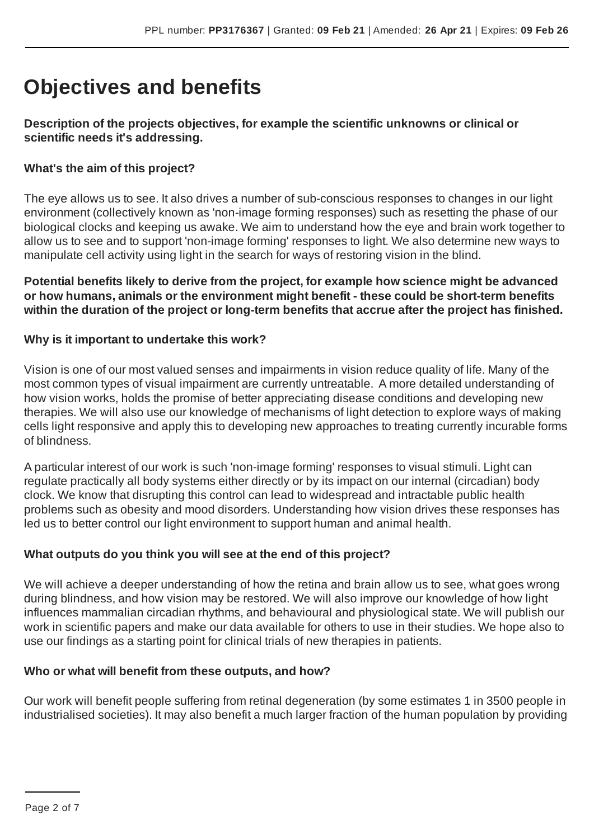# **Objectives and benefits**

#### **Description of the projects objectives, for example the scientific unknowns or clinical or scientific needs it's addressing.**

#### **What's the aim of this project?**

The eye allows us to see. It also drives a number of sub-conscious responses to changes in our light environment (collectively known as 'non-image forming responses) such as resetting the phase of our biological clocks and keeping us awake. We aim to understand how the eye and brain work together to allow us to see and to support 'non-image forming' responses to light. We also determine new ways to manipulate cell activity using light in the search for ways of restoring vision in the blind.

**Potential benefits likely to derive from the project, for example how science might be advanced or how humans, animals or the environment might benefit - these could be short-term benefits within the duration of the project or long-term benefits that accrue after the project has finished.**

#### **Why is it important to undertake this work?**

Vision is one of our most valued senses and impairments in vision reduce quality of life. Many of the most common types of visual impairment are currently untreatable. A more detailed understanding of how vision works, holds the promise of better appreciating disease conditions and developing new therapies. We will also use our knowledge of mechanisms of light detection to explore ways of making cells light responsive and apply this to developing new approaches to treating currently incurable forms of blindness.

A particular interest of our work is such 'non-image forming' responses to visual stimuli. Light can regulate practically all body systems either directly or by its impact on our internal (circadian) body clock. We know that disrupting this control can lead to widespread and intractable public health problems such as obesity and mood disorders. Understanding how vision drives these responses has led us to better control our light environment to support human and animal health.

#### **What outputs do you think you will see at the end of this project?**

We will achieve a deeper understanding of how the retina and brain allow us to see, what goes wrong during blindness, and how vision may be restored. We will also improve our knowledge of how light influences mammalian circadian rhythms, and behavioural and physiological state. We will publish our work in scientific papers and make our data available for others to use in their studies. We hope also to use our findings as a starting point for clinical trials of new therapies in patients.

#### **Who or what will benefit from these outputs, and how?**

Our work will benefit people suffering from retinal degeneration (by some estimates 1 in 3500 people in industrialised societies). It may also benefit a much larger fraction of the human population by providing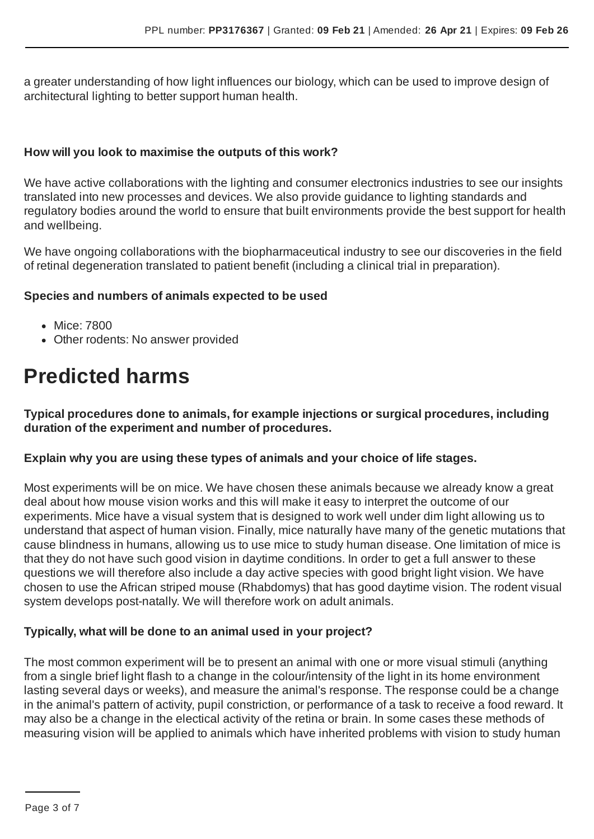a greater understanding of how light influences our biology, which can be used to improve design of architectural lighting to better support human health.

#### **How will you look to maximise the outputs of this work?**

We have active collaborations with the lighting and consumer electronics industries to see our insights translated into new processes and devices. We also provide guidance to lighting standards and regulatory bodies around the world to ensure that built environments provide the best support for health and wellbeing.

We have ongoing collaborations with the biopharmaceutical industry to see our discoveries in the field of retinal degeneration translated to patient benefit (including a clinical trial in preparation).

#### **Species and numbers of animals expected to be used**

- Mice: 7800
- Other rodents: No answer provided

## **Predicted harms**

**Typical procedures done to animals, for example injections or surgical procedures, including duration of the experiment and number of procedures.**

#### **Explain why you are using these types of animals and your choice of life stages.**

Most experiments will be on mice. We have chosen these animals because we already know a great deal about how mouse vision works and this will make it easy to interpret the outcome of our experiments. Mice have a visual system that is designed to work well under dim light allowing us to understand that aspect of human vision. Finally, mice naturally have many of the genetic mutations that cause blindness in humans, allowing us to use mice to study human disease. One limitation of mice is that they do not have such good vision in daytime conditions. In order to get a full answer to these questions we will therefore also include a day active species with good bright light vision. We have chosen to use the African striped mouse (Rhabdomys) that has good daytime vision. The rodent visual system develops post-natally. We will therefore work on adult animals.

#### **Typically, what will be done to an animal used in your project?**

The most common experiment will be to present an animal with one or more visual stimuli (anything from a single brief light flash to a change in the colour/intensity of the light in its home environment lasting several days or weeks), and measure the animal's response. The response could be a change in the animal's pattern of activity, pupil constriction, or performance of a task to receive a food reward. It may also be a change in the electical activity of the retina or brain. In some cases these methods of measuring vision will be applied to animals which have inherited problems with vision to study human

Page 3 of 7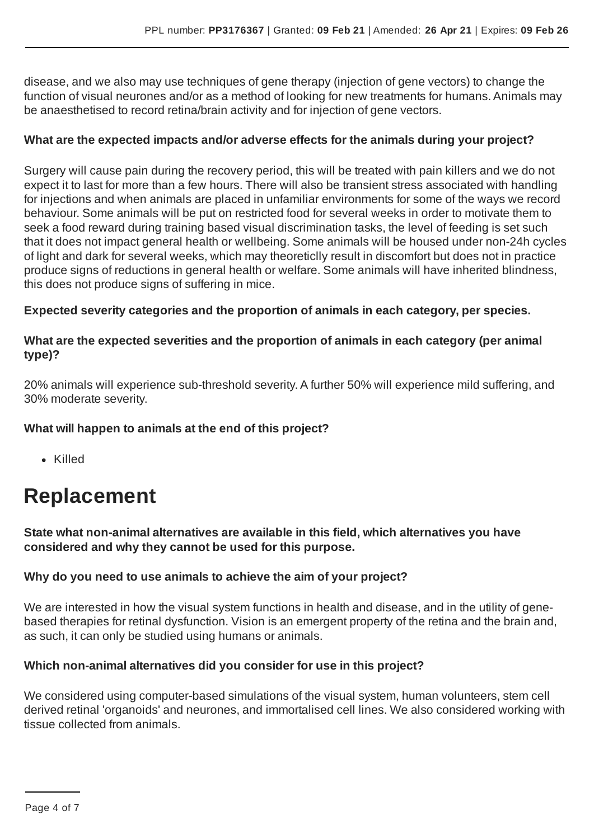disease, and we also may use techniques of gene therapy (injection of gene vectors) to change the function of visual neurones and/or as a method of looking for new treatments for humans. Animals may be anaesthetised to record retina/brain activity and for injection of gene vectors.

#### **What are the expected impacts and/or adverse effects for the animals during your project?**

Surgery will cause pain during the recovery period, this will be treated with pain killers and we do not expect it to last for more than a few hours. There will also be transient stress associated with handling for injections and when animals are placed in unfamiliar environments for some of the ways we record behaviour. Some animals will be put on restricted food for several weeks in order to motivate them to seek a food reward during training based visual discrimination tasks, the level of feeding is set such that it does not impact general health or wellbeing. Some animals will be housed under non-24h cycles of light and dark for several weeks, which may theoreticlly result in discomfort but does not in practice produce signs of reductions in general health or welfare. Some animals will have inherited blindness, this does not produce signs of suffering in mice.

#### **Expected severity categories and the proportion of animals in each category, per species.**

#### **What are the expected severities and the proportion of animals in each category (per animal type)?**

20% animals will experience sub-threshold severity. A further 50% will experience mild suffering, and 30% moderate severity.

#### **What will happen to animals at the end of this project?**

Killed

## **Replacement**

#### **State what non-animal alternatives are available in this field, which alternatives you have considered and why they cannot be used for this purpose.**

#### **Why do you need to use animals to achieve the aim of your project?**

We are interested in how the visual system functions in health and disease, and in the utility of genebased therapies for retinal dysfunction. Vision is an emergent property of the retina and the brain and, as such, it can only be studied using humans or animals.

#### **Which non-animal alternatives did you consider for use in this project?**

We considered using computer-based simulations of the visual system, human volunteers, stem cell derived retinal 'organoids' and neurones, and immortalised cell lines. We also considered working with tissue collected from animals.

Page 4 of 7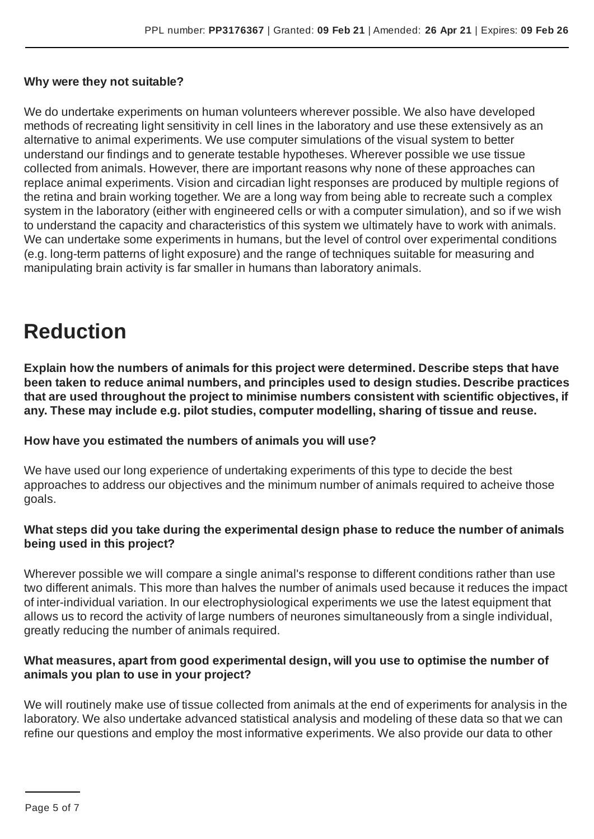#### **Why were they not suitable?**

We do undertake experiments on human volunteers wherever possible. We also have developed methods of recreating light sensitivity in cell lines in the laboratory and use these extensively as an alternative to animal experiments. We use computer simulations of the visual system to better understand our findings and to generate testable hypotheses. Wherever possible we use tissue collected from animals. However, there are important reasons why none of these approaches can replace animal experiments. Vision and circadian light responses are produced by multiple regions of the retina and brain working together. We are a long way from being able to recreate such a complex system in the laboratory (either with engineered cells or with a computer simulation), and so if we wish to understand the capacity and characteristics of this system we ultimately have to work with animals. We can undertake some experiments in humans, but the level of control over experimental conditions (e.g. long-term patterns of light exposure) and the range of techniques suitable for measuring and manipulating brain activity is far smaller in humans than laboratory animals.

### **Reduction**

**Explain how the numbers of animals for this project were determined. Describe steps that have been taken to reduce animal numbers, and principles used to design studies. Describe practices that are used throughout the project to minimise numbers consistent with scientific objectives, if any. These may include e.g. pilot studies, computer modelling, sharing of tissue and reuse.**

#### **How have you estimated the numbers of animals you will use?**

We have used our long experience of undertaking experiments of this type to decide the best approaches to address our objectives and the minimum number of animals required to acheive those goals.

#### **What steps did you take during the experimental design phase to reduce the number of animals being used in this project?**

Wherever possible we will compare a single animal's response to different conditions rather than use two different animals. This more than halves the number of animals used because it reduces the impact of inter-individual variation. In our electrophysiological experiments we use the latest equipment that allows us to record the activity of large numbers of neurones simultaneously from a single individual, greatly reducing the number of animals required.

#### **What measures, apart from good experimental design, will you use to optimise the number of animals you plan to use in your project?**

We will routinely make use of tissue collected from animals at the end of experiments for analysis in the laboratory. We also undertake advanced statistical analysis and modeling of these data so that we can refine our questions and employ the most informative experiments. We also provide our data to other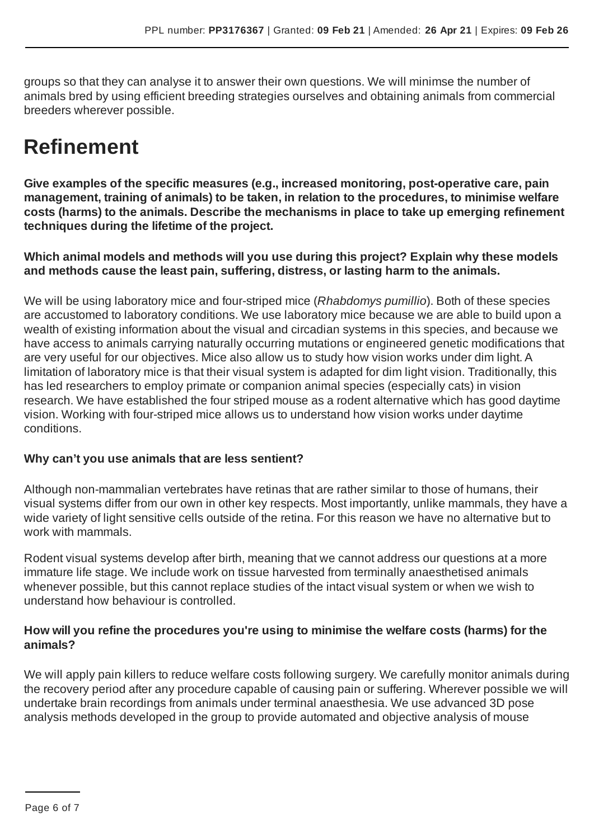groups so that they can analyse it to answer their own questions. We will minimse the number of animals bred by using efficient breeding strategies ourselves and obtaining animals from commercial breeders wherever possible.

## **Refinement**

**Give examples of the specific measures (e.g., increased monitoring, post-operative care, pain management, training of animals) to be taken, in relation to the procedures, to minimise welfare costs (harms) to the animals. Describe the mechanisms in place to take up emerging refinement techniques during the lifetime of the project.**

**Which animal models and methods will you use during this project? Explain why these models and methods cause the least pain, suffering, distress, or lasting harm to the animals.**

We will be using laboratory mice and four-striped mice (*Rhabdomys pumillio*). Both of these species are accustomed to laboratory conditions. We use laboratory mice because we are able to build upon a wealth of existing information about the visual and circadian systems in this species, and because we have access to animals carrying naturally occurring mutations or engineered genetic modifications that are very useful for our objectives. Mice also allow us to study how vision works under dim light.A limitation of laboratory mice is that their visual system is adapted for dim light vision. Traditionally, this has led researchers to employ primate or companion animal species (especially cats) in vision research. We have established the four striped mouse as a rodent alternative which has good daytime vision. Working with four-striped mice allows us to understand how vision works under daytime conditions.

#### **Why can't you use animals that are less sentient?**

Although non-mammalian vertebrates have retinas that are rather similar to those of humans, their visual systems differ from our own in other key respects. Most importantly, unlike mammals, they have a wide variety of light sensitive cells outside of the retina. For this reason we have no alternative but to work with mammals.

Rodent visual systems develop after birth, meaning that we cannot address our questions at a more immature life stage. We include work on tissue harvested from terminally anaesthetised animals whenever possible, but this cannot replace studies of the intact visual system or when we wish to understand how behaviour is controlled.

#### **How will you refine the procedures you're using to minimise the welfare costs (harms) for the animals?**

We will apply pain killers to reduce welfare costs following surgery. We carefully monitor animals during the recovery period after any procedure capable of causing pain or suffering. Wherever possible we will undertake brain recordings from animals under terminal anaesthesia. We use advanced 3D pose analysis methods developed in the group to provide automated and objective analysis of mouse